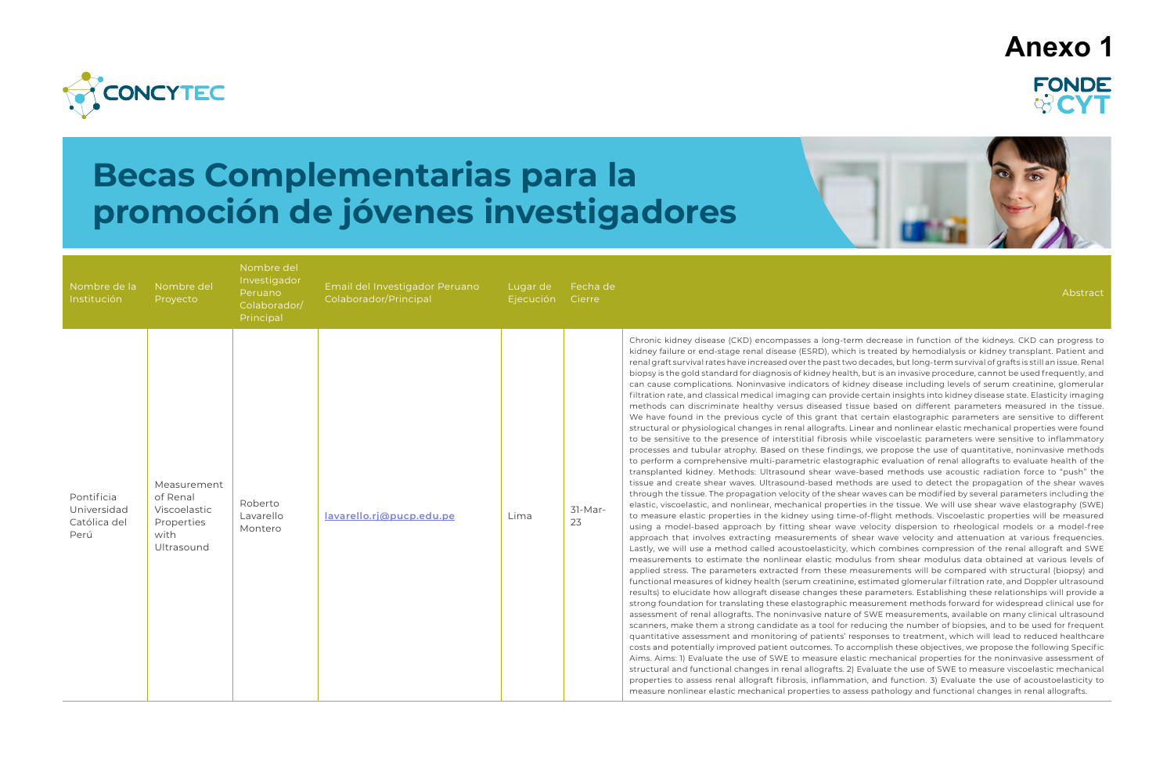

# **Becas Complementarias para la promoción de jóvenes investigadores**

| Nombre de la<br>Institución                       | Nombre del<br>Proyecto                                                      | Nombre del<br>Investigador<br>Peruano<br>Colaborador/<br>Principal | Email del Investigador Peruano<br>Colaborador/Principal | Lugar de<br>Ejecución | Fecha de<br>Cierre | Abstract                                                                                                                                                                                                                                                                                                                                                                                                                                                                                                                                                                                                                                                                                                                                                                                                                                                                                                                                                                                                                                                                                                                                                                                                                                                                                                                                                                                                                                                                                                                                                                                                                                                                                                                                                                                                                                                                                                                                                                                                                                                                                                                                                                                                                                                                                                                                                                                                                                                                                                                                                                                                                                                                                                                                                                                                                                                                                                                                                                                                                                                                                                                                                                                                                                                                                                                                                                                                                                                                                                                                                                                                                                                                                                                                                                                                                                                                                                                                                                                                                                    |
|---------------------------------------------------|-----------------------------------------------------------------------------|--------------------------------------------------------------------|---------------------------------------------------------|-----------------------|--------------------|---------------------------------------------------------------------------------------------------------------------------------------------------------------------------------------------------------------------------------------------------------------------------------------------------------------------------------------------------------------------------------------------------------------------------------------------------------------------------------------------------------------------------------------------------------------------------------------------------------------------------------------------------------------------------------------------------------------------------------------------------------------------------------------------------------------------------------------------------------------------------------------------------------------------------------------------------------------------------------------------------------------------------------------------------------------------------------------------------------------------------------------------------------------------------------------------------------------------------------------------------------------------------------------------------------------------------------------------------------------------------------------------------------------------------------------------------------------------------------------------------------------------------------------------------------------------------------------------------------------------------------------------------------------------------------------------------------------------------------------------------------------------------------------------------------------------------------------------------------------------------------------------------------------------------------------------------------------------------------------------------------------------------------------------------------------------------------------------------------------------------------------------------------------------------------------------------------------------------------------------------------------------------------------------------------------------------------------------------------------------------------------------------------------------------------------------------------------------------------------------------------------------------------------------------------------------------------------------------------------------------------------------------------------------------------------------------------------------------------------------------------------------------------------------------------------------------------------------------------------------------------------------------------------------------------------------------------------------------------------------------------------------------------------------------------------------------------------------------------------------------------------------------------------------------------------------------------------------------------------------------------------------------------------------------------------------------------------------------------------------------------------------------------------------------------------------------------------------------------------------------------------------------------------------------------------------------------------------------------------------------------------------------------------------------------------------------------------------------------------------------------------------------------------------------------------------------------------------------------------------------------------------------------------------------------------------------------------------------------------------------------------------------------------------|
| Pontificia<br>Universidad<br>Católica del<br>Perú | Measurement<br>of Renal<br>Viscoelastic<br>Properties<br>with<br>Ultrasound | Roberto<br>Lavarello<br>Montero                                    | lavarello.ri@pucp.edu.pe                                | Lima                  | $31-Mar-$<br>23    | Chronic kidney disease (CKD) encompasses a long-term decrease in function of the kidneys. CKD can progress to<br>kidney failure or end-stage renal disease (ESRD), which is treated by hemodialysis or kidney transplant. Patient and<br>renal graft survival rates have increased over the past two decades, but long-term survival of grafts is still an issue. Renal<br>biopsy is the gold standard for diagnosis of kidney health, but is an invasive procedure, cannot be used frequently, and<br>can cause complications. Noninvasive indicators of kidney disease including levels of serum creatinine, glomerular<br>filtration rate, and classical medical imaging can provide certain insights into kidney disease state. Elasticity imaging<br>methods can discriminate healthy versus diseased tissue based on different parameters measured in the tissue.<br>We have found in the previous cycle of this grant that certain elastographic parameters are sensitive to different<br>structural or physiological changes in renal allografts. Linear and nonlinear elastic mechanical properties were found<br>to be sensitive to the presence of interstitial fibrosis while viscoelastic parameters were sensitive to inflammatory<br>processes and tubular atrophy. Based on these findings, we propose the use of quantitative, noninvasive methods<br>to perform a comprehensive multi-parametric elastographic evaluation of renal allografts to evaluate health of the<br>transplanted kidney. Methods: Ultrasound shear wave-based methods use acoustic radiation force to "push" the<br>tissue and create shear waves. Ultrasound-based methods are used to detect the propagation of the shear waves<br>through the tissue. The propagation velocity of the shear waves can be modified by several parameters including the<br>elastic, viscoelastic, and nonlinear, mechanical properties in the tissue. We will use shear wave elastography (SWE)<br>to measure elastic properties in the kidney using time-of-flight methods. Viscoelastic properties will be measured<br>using a model-based approach by fitting shear wave velocity dispersion to rheological models or a model-free<br>approach that involves extracting measurements of shear wave velocity and attenuation at various frequencies.<br>Lastly, we will use a method called acoustoelasticity, which combines compression of the renal allograft and SWE<br>measurements to estimate the nonlinear elastic modulus from shear modulus data obtained at various levels of<br>applied stress. The parameters extracted from these measurements will be compared with structural (biopsy) and<br>functional measures of kidney health (serum creatinine, estimated glomerular filtration rate, and Doppler ultrasound<br>results) to elucidate how allograft disease changes these parameters. Establishing these relationships will provide a<br>strong foundation for translating these elastographic measurement methods forward for widespread clinical use for<br>assessment of renal allografts. The noninvasive nature of SWE measurements, available on many clinical ultrasound<br>scanners, make them a strong candidate as a tool for reducing the number of biopsies, and to be used for frequent<br>quantitative assessment and monitoring of patients' responses to treatment, which will lead to reduced healthcare<br>costs and potentially improved patient outcomes. To accomplish these objectives, we propose the following Specific<br>Aims. Aims: 1) Evaluate the use of SWE to measure elastic mechanical properties for the noninvasive assessment of<br>structural and functional changes in renal allografts. 2) Evaluate the use of SWE to measure viscoelastic mechanical<br>properties to assess renal allograft fibrosis, inflammation, and function. 3) Evaluate the use of acoustoelasticity to<br>measure nonlinear elastic mechanical properties to assess pathology and functional changes in renal allografts. |

## **Anexo 1**FONDE **ORCY**

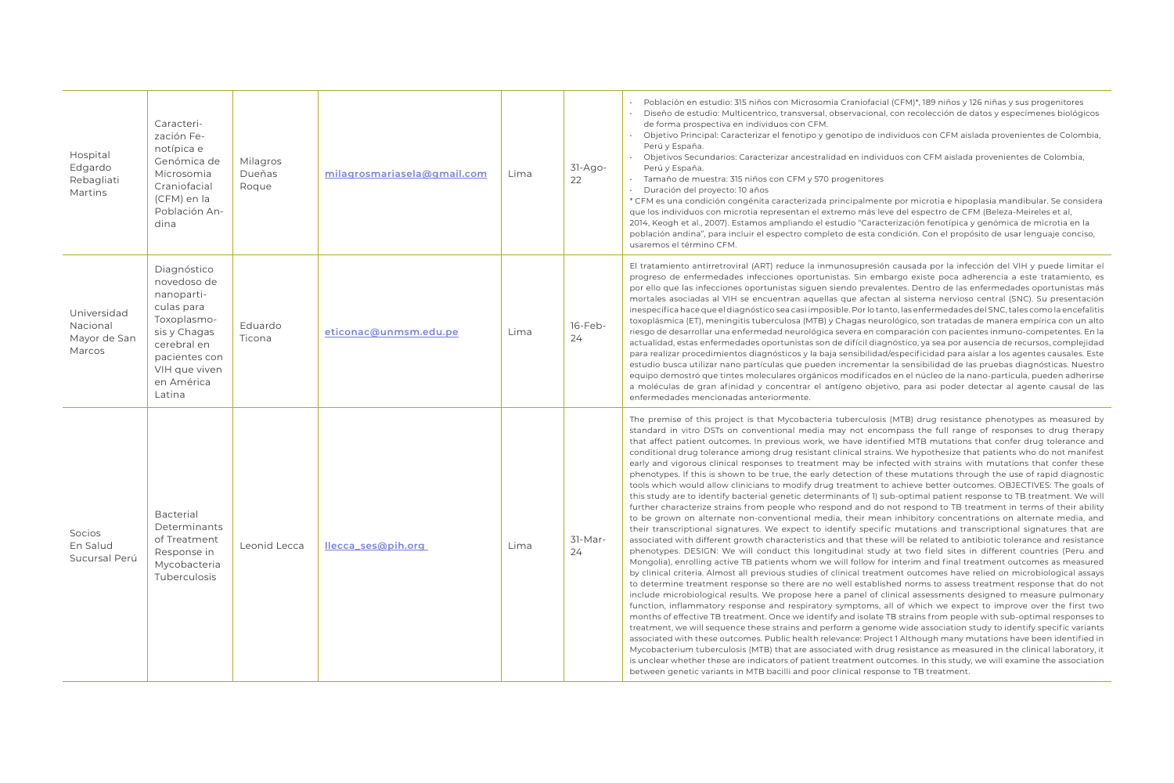• Objetivo Principal: Caracterizar el fenotipo y genotipo de individuos con CFM aislada provenientes de Colombia,

undarios: Caracterizar ancestralidad en individuos con CFM aislada provenientes de Colombia,

uestra: 315 niños con CFM y 570 progenitores

proyecto: 10 años

dición congénita caracterizada principalmente por microtia e hipoplasia mandibular. Se considera s con microtia representan el extremo más leve del espectro de CFM (Beleza-Meireles et al, 2007). Estamos ampliando el estudio "Caracterización fenotípica y genómica de microtia en la ", para incluir el espectro completo de esta condición. Con el propósito de usar lenguaje conciso, ino CFM.

htirretroviral (ART) reduce la inmunosupresión causada por la infección del VIH y puede limitar el ermedades infecciones oportunistas. Sin embargo existe poca adherencia a este tratamiento, es ifecciones oportunistas siguen siendo prevalentes. Dentro de las enfermedades oportunistas más las al VIH se encuentran aquellas que afectan al sistema nervioso central (SNC). Su presentación ique el diagnóstico sea casi imposible. Por lo tanto, las enfermedades del SNC, tales como la encefalitis , meningitis tuberculosa (MTB) y Chagas neurológico, son tratadas de manera empírica con un alto llar una enfermedad neurológica severa en comparación con pacientes inmuno-competentes. En la enfermedades oportunistas son de difícil diagnóstico, ya sea por ausencia de recursos, complejidad edimientos diagnósticos y la baja sensibilidad/especificidad para aislar a los agentes causales. Este ilizar nano partículas que pueden incrementar la sensibilidad de las pruebas diagnósticas. Nuestro eque tintes moleculares orgánicos modificados en el núcleo de la nano-partícula, pueden adherirse aran afinidad y concentrar el antígeno objetivo, para asi poder detectar al agente causal de las encionadas anteriormente.

his project is that Mycobacteria tuberculosis (MTB) drug resistance phenotypes as measured by DSTs on conventional media may not encompass the full range of responses to drug therapy it outcomes. In previous work, we have identified MTB mutations that confer drug tolerance and tolerance among drug resistant clinical strains. We hypothesize that patients who do not manifest as clinical responses to treatment may be infected with strains with mutations that confer these is is shown to be true, the early detection of these mutations through the use of rapid diagnostic d allow clinicians to modify drug treatment to achieve better outcomes. OBJECTIVES: The goals of identify bacterial genetic determinants of 1) sub-optimal patient response to TB treatment. We will ize strains from people who respond and do not respond to TB treatment in terms of their ability alternate non-conventional media, their mean inhibitory concentrations on alternate media, and nal signatures. We expect to identify specific mutations and transcriptional signatures that are ifferent growth characteristics and that these will be related to antibiotic tolerance and resistance IGN: We will conduct this longitudinal study at two field sites in different countries (Peru and ng active TB patients whom we will follow for interim and final treatment outcomes as measured Almost all previous studies of clinical treatment outcomes have relied on microbiological assays atment response so there are no well established norms to assess treatment response that do not logical results. We propose here a panel of clinical assessments designed to measure pulmonary natory response and respiratory symptoms, all of which we expect to improve over the first two ve TB treatment. Once we identify and isolate TB strains from people with sub-optimal responses to sequence these strains and perform a genome wide association study to identify specific variants hese outcomes. Public health relevance: Project 1 Although many mutations have been identified in uberculosis (MTB) that are associated with drug resistance as measured in the clinical laboratory, it er these are indicators of patient treatment outcomes. In this study, we will examine the association variants in MTB bacilli and poor clinical response to TB treatment.

| Hospital<br>Edgardo<br>Rebagliati<br>Martins      | Caracteri-<br>zación Fe-<br>notípica e<br>Genómica de<br>Microsomia<br>Craniofacial<br>(CFM) en la<br>Población An-<br>dina                                    | Milagros<br>Dueñas<br>Roque | milagrosmariasela@gmail.com | Lima | $31-Ago-$<br>22 | Población en e<br>$\bullet$<br>Diseño de estu<br>$\bullet$<br>de forma prosp<br>Objetivo Princi<br>$\bullet$<br>Perú y España.<br>Objetivos Secu<br>$\bullet$<br>Perú y España.<br>Tamaño de mu<br>$\bullet$<br>Duración del p<br>* CFM es una cond<br>que los individuos<br>2014, Keogh et al.,<br>población andina"<br>usaremos el térmi                                                                                                                                                                                                 |
|---------------------------------------------------|----------------------------------------------------------------------------------------------------------------------------------------------------------------|-----------------------------|-----------------------------|------|-----------------|--------------------------------------------------------------------------------------------------------------------------------------------------------------------------------------------------------------------------------------------------------------------------------------------------------------------------------------------------------------------------------------------------------------------------------------------------------------------------------------------------------------------------------------------|
| Universidad<br>Nacional<br>Mayor de San<br>Marcos | Diagnóstico<br>novedoso de<br>nanoparti-<br>culas para<br>Toxoplasmo-<br>sis y Chagas<br>cerebral en<br>pacientes con<br>VIH que viven<br>en América<br>Latina | Eduardo<br>Ticona           | eticonac@unmsm.edu.pe       | Lima | 16-Feb-<br>24   | El tratamiento an<br>progreso de enfei<br>por ello que las in<br>mortales asociada<br>inespecífica hace o<br>toxoplásmica (ET),<br>riesgo de desarroll<br>actualidad, estas e<br>para realizar proce<br>estudio busca util<br>equipo demostró<br>a moléculas de g<br>enfermedades me                                                                                                                                                                                                                                                       |
| Socios<br>En Salud<br>Sucursal Perú               | <b>Bacterial</b><br>Determinants<br>of Treatment<br>Response in<br>Mycobacteria<br>Tuberculosis                                                                | Leonid Lecca                | llecca_ses@pih.org          | Lima | 31-Mar-<br>24   | The premise of th<br>standard in vitro<br>that affect patient<br>conditional drug t<br>early and vigorous<br>phenotypes. If this<br>tools which would<br>this study are to id<br>further characteri:<br>to be grown on a<br>their transcriptior<br>associated with di<br>phenotypes. DESI<br>Mongolia), enrollir<br>by clinical criteria.<br>to determine treat<br>include microbiol<br>function, inflamm<br>months of effectiv<br>treatment, we will<br>associated with th<br>Mycobacterium tu<br>is unclear whether<br>between genetic \ |

estudio: 315 niños con Microsomia Craniofacial (CFM)\*, 189 niños y 126 niñas y sus progenitores udio: Multicentrico, transversal, observacional, con recolección de datos y especímenes biológicos spectiva en individuos con CFM.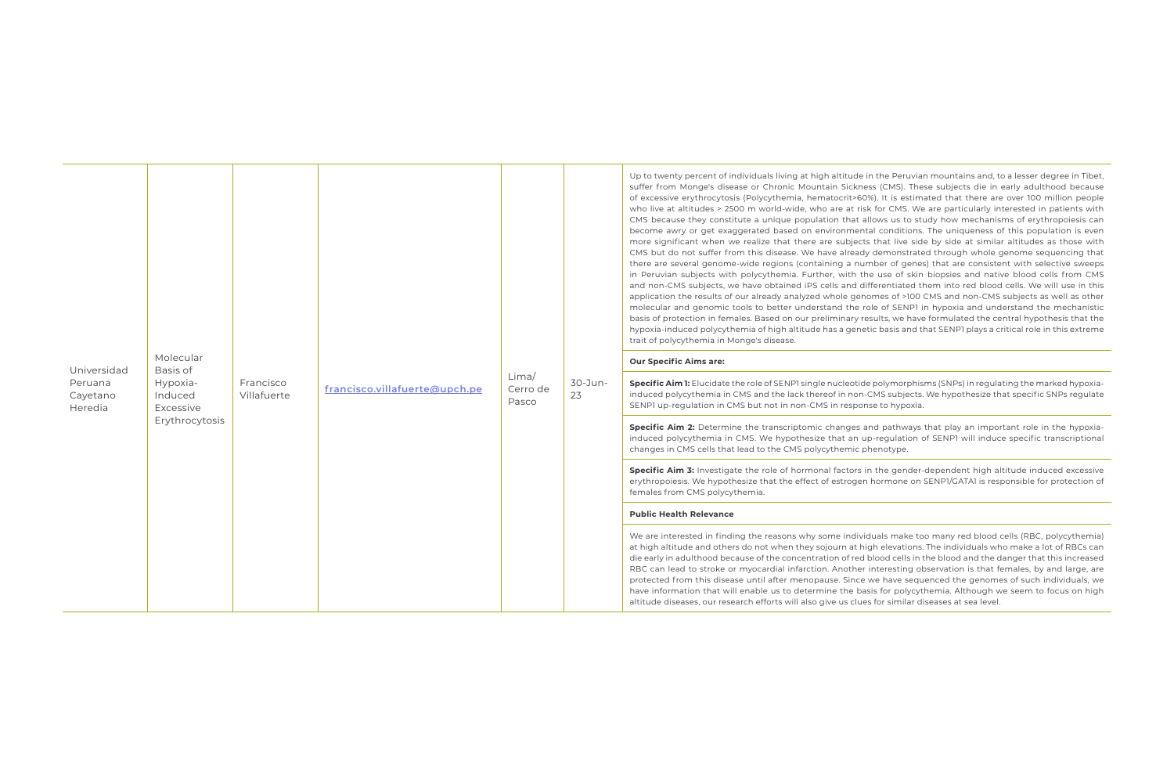| Universidad<br>Peruana<br>Cayetano<br>Heredia | Molecular<br>Basis of<br>Hypoxia-<br>Induced<br>Excessive<br>Erythrocytosis | Francisco<br>Villafuerte | francisco.villafuerte@upch.pe | Lima/<br>Cerro de<br>Pasco | $30 - Jun -$<br>23 | Up to twenty perc<br>suffer from Mong<br>of excessive eryth<br>who live at altituc<br>CMS because they<br>become awry or g<br>more significant<br>CMS but do not s<br>there are several<br>in Peruvian subje<br>and non-CMS sub<br>application the re:<br>molecular and ge<br>basis of protection<br>hypoxia-induced p<br>trait of polycythen<br><b>Our Specific Aims</b><br>Specific Aim 1: Elu<br>induced polycythe<br>SENP1 up-regulati<br>Specific Aim 2: D |
|-----------------------------------------------|-----------------------------------------------------------------------------|--------------------------|-------------------------------|----------------------------|--------------------|-----------------------------------------------------------------------------------------------------------------------------------------------------------------------------------------------------------------------------------------------------------------------------------------------------------------------------------------------------------------------------------------------------------------------------------------------------------------|
|                                               |                                                                             |                          |                               |                            |                    | induced polycythe<br>changes in CMS co                                                                                                                                                                                                                                                                                                                                                                                                                          |
|                                               |                                                                             |                          |                               |                            |                    | Specific Aim 3: In<br>erythropoiesis. We<br>females from CMS                                                                                                                                                                                                                                                                                                                                                                                                    |
|                                               |                                                                             |                          |                               |                            |                    | <b>Public Health Rel</b>                                                                                                                                                                                                                                                                                                                                                                                                                                        |
|                                               |                                                                             |                          |                               |                            |                    | We are interested<br>at high altitude ar<br>die early in adulth<br>RBC can lead to s<br>protected from th<br>have information<br>altitude diseases,                                                                                                                                                                                                                                                                                                             |

ent of individuals living at high altitude in the Peruvian mountains and, to a lesser degree in Tibet, je's disease or Chronic Mountain Sickness (CMS). These subjects die in early adulthood because rocytosis (Polycythemia, hematocrit>60%). It is estimated that there are over 100 million people les > 2500 m world-wide, who are at risk for CMS. We are particularly interested in patients with y constitute a unique population that allows us to study how mechanisms of erythropoiesis can get exaggerated based on environmental conditions. The uniqueness of this population is even when we realize that there are subjects that live side by side at similar altitudes as those with uffer from this disease. We have already demonstrated through whole genome sequencing that genome-wide regions (containing a number of genes) that are consistent with selective sweeps cts with polycythemia. Further, with the use of skin biopsies and native blood cells from CMS ijects, we have obtained iPS cells and differentiated them into red blood cells. We will use in this sults of our already analyzed whole genomes of >100 CMS and non-CMS subjects as well as other momic tools to better understand the role of SENP1 in hypoxia and understand the mechanistic n in females. Based on our preliminary results, we have formulated the central hypothesis that the polycythemia of high altitude has a genetic basis and that SENP1 plays a critical role in this extreme mia in Monge's disease.

#### **S** are:

**Specific Aim 1:** Elucidate the role of SENP1 single nucleotide polymorphisms (SNPs) in regulating the marked hypoxiaemia in CMS and the lack thereof in non-CMS subjects. We hypothesize that specific SNPs regulate ion in CMS but not in non-CMS in response to hypoxia.

etermine the transcriptomic changes and pathways that play an important role in the hypoxiaemia in CMS. We hypothesize that an up-regulation of SENP1 will induce specific transcriptional ells that lead to the CMS polycythemic phenotype.

**Specific Aim 3:** Investigate the role of hormonal factors in the gender-dependent high altitude induced excessive erthypothesize that the effect of estrogen hormone on SENP1/GATA1 is responsible for protection of i polycythemia.

#### **Perance**

in finding the reasons why some individuals make too many red blood cells (RBC, polycythemia) ad others do not when they sojourn at high elevations. The individuals who make a lot of RBCs can ood because of the concentration of red blood cells in the blood and the danger that this increased troke or myocardial infarction. Another interesting observation is that females, by and large, are his disease until after menopause. Since we have sequenced the genomes of such individuals, we that will enable us to determine the basis for polycythemia. Although we seem to focus on high our research efforts will also give us clues for similar diseases at sea level.